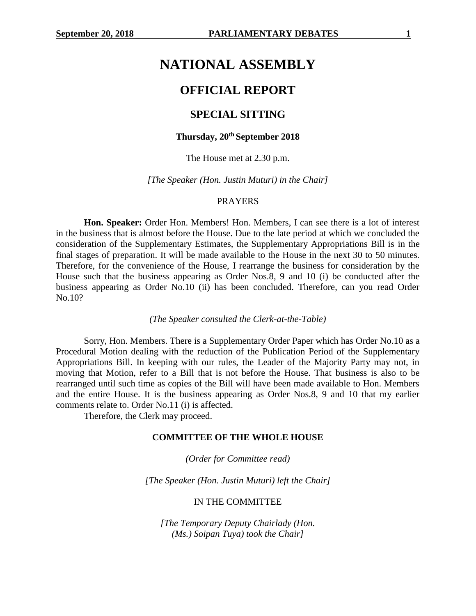# **NATIONAL ASSEMBLY**

## **OFFICIAL REPORT**

## **SPECIAL SITTING**

## **Thursday, 20th September 2018**

The House met at 2.30 p.m.

*[The Speaker (Hon. Justin Muturi) in the Chair]*

## PRAYERS

**Hon. Speaker:** Order Hon. Members! Hon. Members, I can see there is a lot of interest in the business that is almost before the House. Due to the late period at which we concluded the consideration of the Supplementary Estimates, the Supplementary Appropriations Bill is in the final stages of preparation. It will be made available to the House in the next 30 to 50 minutes. Therefore, for the convenience of the House, I rearrange the business for consideration by the House such that the business appearing as Order Nos.8, 9 and 10 (i) be conducted after the business appearing as Order No.10 (ii) has been concluded. Therefore, can you read Order No.10?

*(The Speaker consulted the Clerk-at-the-Table)*

Sorry, Hon. Members. There is a Supplementary Order Paper which has Order No.10 as a Procedural Motion dealing with the reduction of the Publication Period of the Supplementary Appropriations Bill. In keeping with our rules, the Leader of the Majority Party may not, in moving that Motion, refer to a Bill that is not before the House. That business is also to be rearranged until such time as copies of the Bill will have been made available to Hon. Members and the entire House. It is the business appearing as Order Nos.8, 9 and 10 that my earlier comments relate to. Order No.11 (i) is affected.

Therefore, the Clerk may proceed.

#### **COMMITTEE OF THE WHOLE HOUSE**

*(Order for Committee read)*

*[The Speaker (Hon. Justin Muturi) left the Chair]*

#### IN THE COMMITTEE

*[The Temporary Deputy Chairlady (Hon. (Ms.) Soipan Tuya) took the Chair]*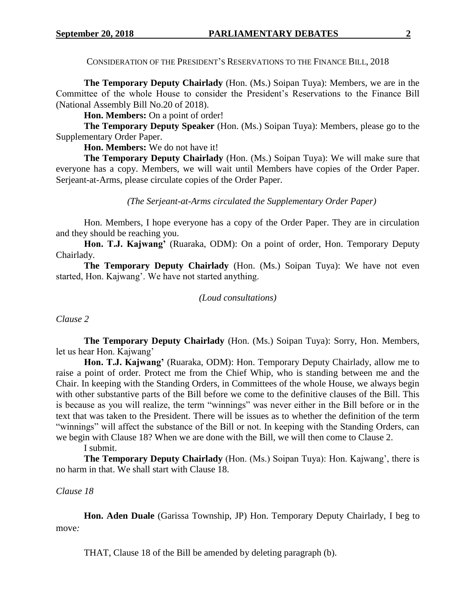CONSIDERATION OF THE PRESIDENT'S RESERVATIONS TO THE FINANCE BILL, 2018

**The Temporary Deputy Chairlady** (Hon. (Ms.) Soipan Tuya): Members, we are in the Committee of the whole House to consider the President's Reservations to the Finance Bill (National Assembly Bill No.20 of 2018).

Hon. Members: On a point of order!

**The Temporary Deputy Speaker** (Hon. (Ms.) Soipan Tuya): Members, please go to the Supplementary Order Paper.

**Hon. Members:** We do not have it!

**The Temporary Deputy Chairlady** (Hon. (Ms.) Soipan Tuya): We will make sure that everyone has a copy. Members, we will wait until Members have copies of the Order Paper. Serjeant-at-Arms, please circulate copies of the Order Paper.

*(The Serjeant-at-Arms circulated the Supplementary Order Paper)*

Hon. Members, I hope everyone has a copy of the Order Paper. They are in circulation and they should be reaching you.

Hon. T.J. Kajwang' (Ruaraka, ODM): On a point of order, Hon. Temporary Deputy Chairlady.

**The Temporary Deputy Chairlady** (Hon. (Ms.) Soipan Tuya): We have not even started, Hon. Kajwang'. We have not started anything.

*(Loud consultations)*

*Clause 2*

**The Temporary Deputy Chairlady** (Hon. (Ms.) Soipan Tuya): Sorry, Hon. Members, let us hear Hon. Kajwang'

Hon. T.J. Kajwang' (Ruaraka, ODM): Hon. Temporary Deputy Chairlady, allow me to raise a point of order. Protect me from the Chief Whip, who is standing between me and the Chair. In keeping with the Standing Orders, in Committees of the whole House, we always begin with other substantive parts of the Bill before we come to the definitive clauses of the Bill. This is because as you will realize, the term "winnings" was never either in the Bill before or in the text that was taken to the President. There will be issues as to whether the definition of the term "winnings" will affect the substance of the Bill or not. In keeping with the Standing Orders, can we begin with Clause 18? When we are done with the Bill, we will then come to Clause 2.

I submit.

**The Temporary Deputy Chairlady** (Hon. (Ms.) Soipan Tuya): Hon. Kajwang', there is no harm in that. We shall start with Clause 18.

## *Clause 18*

**Hon. Aden Duale** (Garissa Township, JP) Hon. Temporary Deputy Chairlady, I beg to move*:*

THAT, Clause 18 of the Bill be amended by deleting paragraph (b).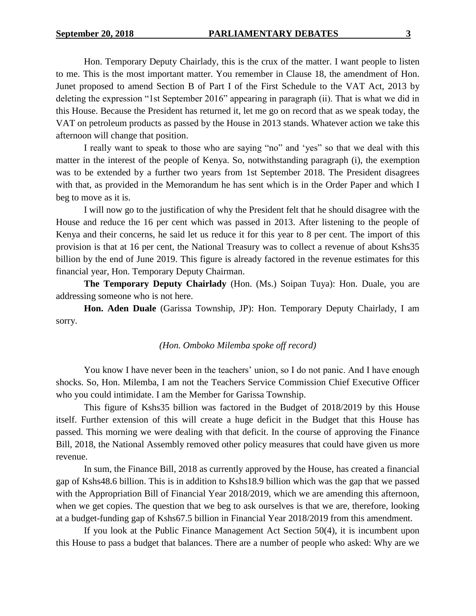Hon. Temporary Deputy Chairlady, this is the crux of the matter. I want people to listen to me. This is the most important matter. You remember in Clause 18, the amendment of Hon. Junet proposed to amend Section B of Part I of the First Schedule to the VAT Act, 2013 by deleting the expression "1st September 2016" appearing in paragraph (ii). That is what we did in this House. Because the President has returned it, let me go on record that as we speak today, the VAT on petroleum products as passed by the House in 2013 stands. Whatever action we take this afternoon will change that position.

I really want to speak to those who are saying "no" and 'yes" so that we deal with this matter in the interest of the people of Kenya. So, notwithstanding paragraph (i), the exemption was to be extended by a further two years from 1st September 2018. The President disagrees with that, as provided in the Memorandum he has sent which is in the Order Paper and which I beg to move as it is.

I will now go to the justification of why the President felt that he should disagree with the House and reduce the 16 per cent which was passed in 2013. After listening to the people of Kenya and their concerns, he said let us reduce it for this year to 8 per cent. The import of this provision is that at 16 per cent, the National Treasury was to collect a revenue of about Kshs35 billion by the end of June 2019. This figure is already factored in the revenue estimates for this financial year, Hon. Temporary Deputy Chairman.

**The Temporary Deputy Chairlady** (Hon. (Ms.) Soipan Tuya): Hon. Duale, you are addressing someone who is not here.

**Hon. Aden Duale** (Garissa Township, JP): Hon. Temporary Deputy Chairlady, I am sorry.

## *(Hon. Omboko Milemba spoke off record)*

You know I have never been in the teachers' union, so I do not panic. And I have enough shocks. So, Hon. Milemba, I am not the Teachers Service Commission Chief Executive Officer who you could intimidate. I am the Member for Garissa Township.

This figure of Kshs35 billion was factored in the Budget of 2018/2019 by this House itself. Further extension of this will create a huge deficit in the Budget that this House has passed. This morning we were dealing with that deficit. In the course of approving the Finance Bill, 2018, the National Assembly removed other policy measures that could have given us more revenue.

In sum, the Finance Bill, 2018 as currently approved by the House, has created a financial gap of Kshs48.6 billion. This is in addition to Kshs18.9 billion which was the gap that we passed with the Appropriation Bill of Financial Year 2018/2019, which we are amending this afternoon, when we get copies. The question that we beg to ask ourselves is that we are, therefore, looking at a budget-funding gap of Kshs67.5 billion in Financial Year 2018/2019 from this amendment.

If you look at the Public Finance Management Act Section 50(4), it is incumbent upon this House to pass a budget that balances. There are a number of people who asked: Why are we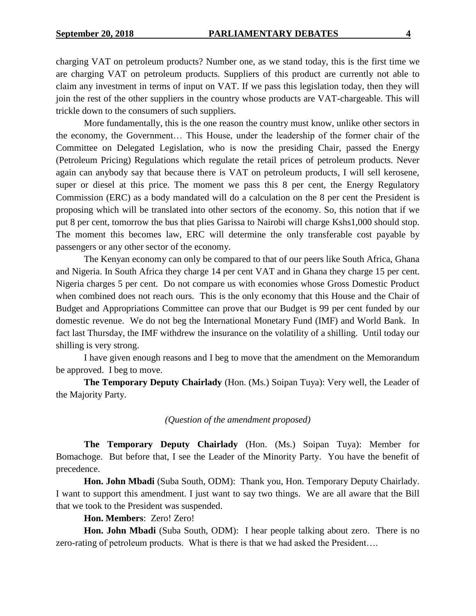charging VAT on petroleum products? Number one, as we stand today, this is the first time we are charging VAT on petroleum products. Suppliers of this product are currently not able to claim any investment in terms of input on VAT. If we pass this legislation today, then they will join the rest of the other suppliers in the country whose products are VAT-chargeable. This will trickle down to the consumers of such suppliers.

More fundamentally, this is the one reason the country must know, unlike other sectors in the economy, the Government… This House, under the leadership of the former chair of the Committee on Delegated Legislation, who is now the presiding Chair, passed the Energy (Petroleum Pricing) Regulations which regulate the retail prices of petroleum products. Never again can anybody say that because there is VAT on petroleum products, I will sell kerosene, super or diesel at this price. The moment we pass this 8 per cent, the Energy Regulatory Commission (ERC) as a body mandated will do a calculation on the 8 per cent the President is proposing which will be translated into other sectors of the economy. So, this notion that if we put 8 per cent, tomorrow the bus that plies Garissa to Nairobi will charge Kshs1,000 should stop. The moment this becomes law, ERC will determine the only transferable cost payable by passengers or any other sector of the economy.

The Kenyan economy can only be compared to that of our peers like South Africa, Ghana and Nigeria. In South Africa they charge 14 per cent VAT and in Ghana they charge 15 per cent. Nigeria charges 5 per cent. Do not compare us with economies whose Gross Domestic Product when combined does not reach ours. This is the only economy that this House and the Chair of Budget and Appropriations Committee can prove that our Budget is 99 per cent funded by our domestic revenue. We do not beg the International Monetary Fund (IMF) and World Bank. In fact last Thursday, the IMF withdrew the insurance on the volatility of a shilling. Until today our shilling is very strong.

I have given enough reasons and I beg to move that the amendment on the Memorandum be approved. I beg to move.

**The Temporary Deputy Chairlady** (Hon. (Ms.) Soipan Tuya): Very well, the Leader of the Majority Party.

## *(Question of the amendment proposed)*

**The Temporary Deputy Chairlady** (Hon. (Ms.) Soipan Tuya): Member for Bomachoge. But before that, I see the Leader of the Minority Party. You have the benefit of precedence.

**Hon. John Mbadi** (Suba South, ODM): Thank you, Hon. Temporary Deputy Chairlady. I want to support this amendment. I just want to say two things. We are all aware that the Bill that we took to the President was suspended.

**Hon. Members**: Zero! Zero!

**Hon. John Mbadi** (Suba South, ODM): I hear people talking about zero. There is no zero-rating of petroleum products. What is there is that we had asked the President….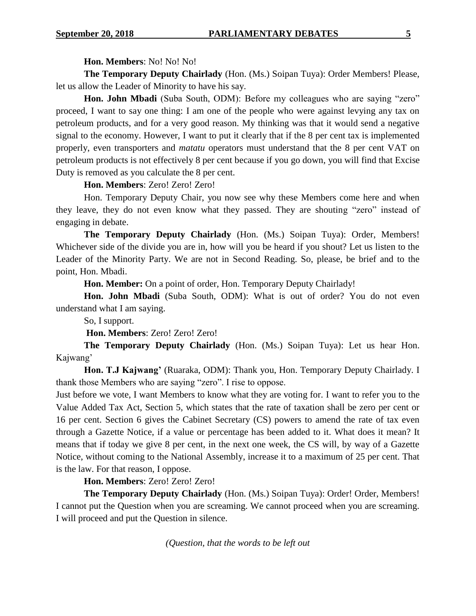## **Hon. Members**: No! No! No!

**The Temporary Deputy Chairlady** (Hon. (Ms.) Soipan Tuya): Order Members! Please, let us allow the Leader of Minority to have his say.

**Hon. John Mbadi** (Suba South, ODM): Before my colleagues who are saying "zero" proceed, I want to say one thing: I am one of the people who were against levying any tax on petroleum products, and for a very good reason. My thinking was that it would send a negative signal to the economy. However, I want to put it clearly that if the 8 per cent tax is implemented properly, even transporters and *matatu* operators must understand that the 8 per cent VAT on petroleum products is not effectively 8 per cent because if you go down, you will find that Excise Duty is removed as you calculate the 8 per cent.

## **Hon. Members**: Zero! Zero! Zero!

Hon. Temporary Deputy Chair, you now see why these Members come here and when they leave, they do not even know what they passed. They are shouting "zero" instead of engaging in debate.

**The Temporary Deputy Chairlady** (Hon. (Ms.) Soipan Tuya): Order, Members! Whichever side of the divide you are in, how will you be heard if you shout? Let us listen to the Leader of the Minority Party. We are not in Second Reading. So, please, be brief and to the point, Hon. Mbadi.

**Hon. Member:** On a point of order, Hon. Temporary Deputy Chairlady!

**Hon. John Mbadi** (Suba South, ODM): What is out of order? You do not even understand what I am saying.

So, I support.

**Hon. Members**: Zero! Zero! Zero!

**The Temporary Deputy Chairlady** (Hon. (Ms.) Soipan Tuya): Let us hear Hon. Kajwang'

**Hon. T.J Kajwang'** (Ruaraka, ODM): Thank you, Hon. Temporary Deputy Chairlady. I thank those Members who are saying "zero". I rise to oppose.

Just before we vote, I want Members to know what they are voting for. I want to refer you to the Value Added Tax Act, Section 5, which states that the rate of taxation shall be zero per cent or 16 per cent. Section 6 gives the Cabinet Secretary (CS) powers to amend the rate of tax even through a Gazette Notice, if a value or percentage has been added to it. What does it mean? It means that if today we give 8 per cent, in the next one week, the CS will, by way of a Gazette Notice, without coming to the National Assembly, increase it to a maximum of 25 per cent. That is the law. For that reason, I oppose.

## **Hon. Members**: Zero! Zero! Zero!

**The Temporary Deputy Chairlady** (Hon. (Ms.) Soipan Tuya): Order! Order, Members! I cannot put the Question when you are screaming. We cannot proceed when you are screaming. I will proceed and put the Question in silence.

*(Question, that the words to be left out*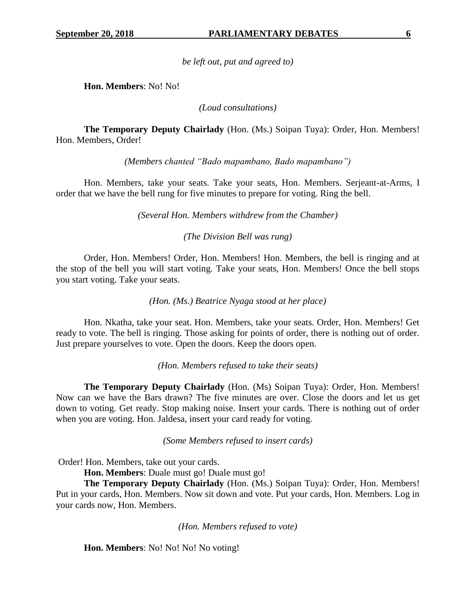*be left out, put and agreed to)*

**Hon. Members**: No! No!

*(Loud consultations)*

**The Temporary Deputy Chairlady** (Hon. (Ms.) Soipan Tuya): Order, Hon. Members! Hon. Members, Order!

*(Members chanted "Bado mapambano, Bado mapambano")*

Hon. Members, take your seats. Take your seats, Hon. Members. Serjeant-at-Arms, I order that we have the bell rung for five minutes to prepare for voting. Ring the bell.

*(Several Hon. Members withdrew from the Chamber)*

*(The Division Bell was rung)*

Order, Hon. Members! Order, Hon. Members! Hon. Members, the bell is ringing and at the stop of the bell you will start voting. Take your seats, Hon. Members! Once the bell stops you start voting. Take your seats.

*(Hon. (Ms.) Beatrice Nyaga stood at her place)*

Hon. Nkatha, take your seat. Hon. Members, take your seats. Order, Hon. Members! Get ready to vote. The bell is ringing. Those asking for points of order, there is nothing out of order. Just prepare yourselves to vote. Open the doors. Keep the doors open.

*(Hon. Members refused to take their seats)*

**The Temporary Deputy Chairlady** (Hon. (Ms) Soipan Tuya): Order, Hon. Members! Now can we have the Bars drawn? The five minutes are over. Close the doors and let us get down to voting. Get ready. Stop making noise. Insert your cards. There is nothing out of order when you are voting. Hon. Jaldesa, insert your card ready for voting.

*(Some Members refused to insert cards)*

Order! Hon. Members, take out your cards.

**Hon. Members**: Duale must go! Duale must go!

**The Temporary Deputy Chairlady** (Hon. (Ms.) Soipan Tuya): Order, Hon. Members! Put in your cards, Hon. Members. Now sit down and vote. Put your cards, Hon. Members. Log in your cards now, Hon. Members.

*(Hon. Members refused to vote)*

**Hon. Members**: No! No! No! No voting!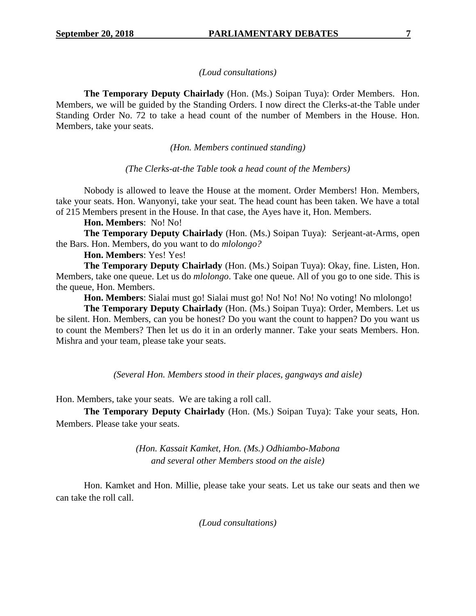## *(Loud consultations)*

**The Temporary Deputy Chairlady** (Hon. (Ms.) Soipan Tuya): Order Members. Hon. Members, we will be guided by the Standing Orders. I now direct the Clerks-at-the Table under Standing Order No. 72 to take a head count of the number of Members in the House. Hon. Members, take your seats.

*(Hon. Members continued standing)*

*(The Clerks-at-the Table took a head count of the Members)*

Nobody is allowed to leave the House at the moment. Order Members! Hon. Members, take your seats. Hon. Wanyonyi, take your seat. The head count has been taken. We have a total of 215 Members present in the House. In that case, the Ayes have it, Hon. Members.

## **Hon. Members**: No! No!

**The Temporary Deputy Chairlady** (Hon. (Ms.) Soipan Tuya): Serjeant-at-Arms, open the Bars. Hon. Members, do you want to do *mlolongo?*

**Hon. Members**: Yes! Yes!

**The Temporary Deputy Chairlady** (Hon. (Ms.) Soipan Tuya): Okay, fine. Listen, Hon. Members, take one queue. Let us do *mlolongo*. Take one queue. All of you go to one side. This is the queue, Hon. Members.

**Hon. Members**: Sialai must go! Sialai must go! No! No! No! No voting! No mlolongo!

**The Temporary Deputy Chairlady** (Hon. (Ms.) Soipan Tuya): Order, Members. Let us be silent. Hon. Members, can you be honest? Do you want the count to happen? Do you want us to count the Members? Then let us do it in an orderly manner. Take your seats Members. Hon. Mishra and your team, please take your seats.

*(Several Hon. Members stood in their places, gangways and aisle)*

Hon. Members, take your seats. We are taking a roll call.

**The Temporary Deputy Chairlady** (Hon. (Ms.) Soipan Tuya): Take your seats, Hon. Members. Please take your seats.

> *(Hon. Kassait Kamket, Hon. (Ms.) Odhiambo-Mabona and several other Members stood on the aisle)*

Hon. Kamket and Hon. Millie, please take your seats. Let us take our seats and then we can take the roll call.

*(Loud consultations)*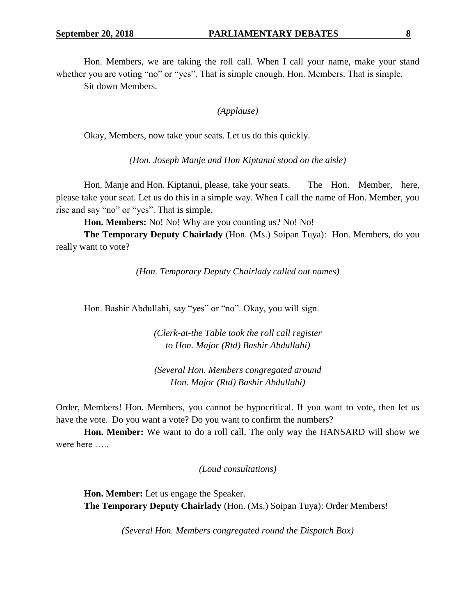Hon. Members, we are taking the roll call. When I call your name, make your stand

whether you are voting "no" or "yes". That is simple enough, Hon. Members. That is simple. Sit down Members.

## *(Applause)*

Okay, Members, now take your seats. Let us do this quickly.

*(Hon. Joseph Manje and Hon Kiptanui stood on the aisle)*

Hon. Manje and Hon. Kiptanui, please, take your seats. The Hon. Member, here, please take your seat. Let us do this in a simple way. When I call the name of Hon. Member, you rise and say "no" or "yes". That is simple.

**Hon. Members:** No! No! Why are you counting us? No! No!

**The Temporary Deputy Chairlady** (Hon. (Ms.) Soipan Tuya): Hon. Members, do you really want to vote?

*(Hon. Temporary Deputy Chairlady called out names)*

Hon. Bashir Abdullahi, say "yes" or "no". Okay, you will sign.

*(Clerk-at-the Table took the roll call register to Hon. Major (Rtd) Bashir Abdullahi)*

*(Several Hon. Members congregated around Hon. Major (Rtd) Bashir Abdullahi)*

Order, Members! Hon. Members, you cannot be hypocritical. If you want to vote, then let us have the vote. Do you want a vote? Do you want to confirm the numbers?

**Hon. Member:** We want to do a roll call. The only way the HANSARD will show we were here …..

*(Loud consultations)*

**Hon. Member:** Let us engage the Speaker. **The Temporary Deputy Chairlady** (Hon. (Ms.) Soipan Tuya): Order Members!

*(Several Hon. Members congregated round the Dispatch Box)*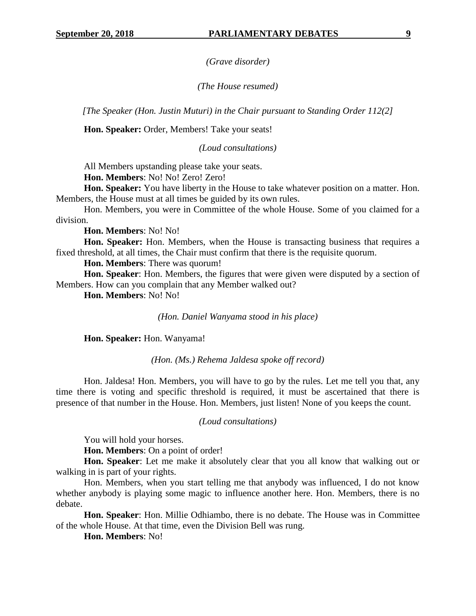*(Grave disorder)*

## *(The House resumed)*

*[The Speaker (Hon. Justin Muturi) in the Chair pursuant to Standing Order 112(2]*

**Hon. Speaker:** Order, Members! Take your seats!

*(Loud consultations)*

All Members upstanding please take your seats.

**Hon. Members**: No! No! Zero! Zero!

**Hon. Speaker:** You have liberty in the House to take whatever position on a matter. Hon. Members, the House must at all times be guided by its own rules.

Hon. Members, you were in Committee of the whole House. Some of you claimed for a division.

**Hon. Members**: No! No!

**Hon. Speaker:** Hon. Members, when the House is transacting business that requires a fixed threshold, at all times, the Chair must confirm that there is the requisite quorum.

**Hon. Members**: There was quorum!

**Hon. Speaker**: Hon. Members, the figures that were given were disputed by a section of Members. How can you complain that any Member walked out?

**Hon. Members**: No! No!

*(Hon. Daniel Wanyama stood in his place)*

**Hon. Speaker:** Hon. Wanyama!

*(Hon. (Ms.) Rehema Jaldesa spoke off record)*

Hon. Jaldesa! Hon. Members, you will have to go by the rules. Let me tell you that, any time there is voting and specific threshold is required, it must be ascertained that there is presence of that number in the House. Hon. Members, just listen! None of you keeps the count.

## *(Loud consultations)*

You will hold your horses.

**Hon. Members**: On a point of order!

**Hon. Speaker**: Let me make it absolutely clear that you all know that walking out or walking in is part of your rights.

Hon. Members, when you start telling me that anybody was influenced, I do not know whether anybody is playing some magic to influence another here. Hon. Members, there is no debate.

**Hon. Speaker**: Hon. Millie Odhiambo, there is no debate. The House was in Committee of the whole House. At that time, even the Division Bell was rung.

**Hon. Members**: No!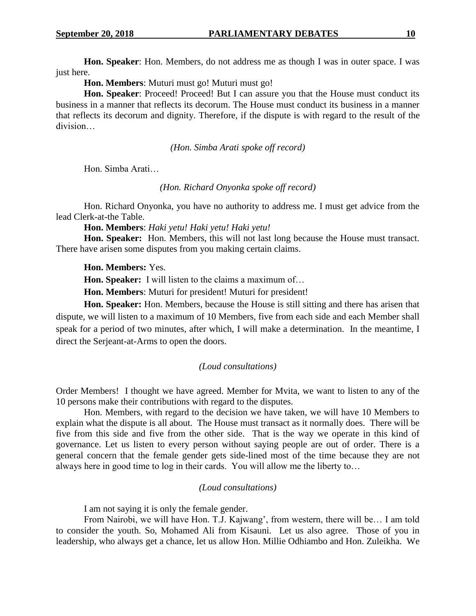**Hon. Speaker**: Hon. Members, do not address me as though I was in outer space. I was just here.

**Hon. Members**: Muturi must go! Muturi must go!

**Hon. Speaker**: Proceed! Proceed! But I can assure you that the House must conduct its business in a manner that reflects its decorum. The House must conduct its business in a manner that reflects its decorum and dignity. Therefore, if the dispute is with regard to the result of the division…

*(Hon. Simba Arati spoke off record)*

Hon. Simba Arati…

*(Hon. Richard Onyonka spoke off record)*

Hon. Richard Onyonka, you have no authority to address me. I must get advice from the lead Clerk-at-the Table.

**Hon. Members**: *Haki yetu! Haki yetu! Haki yetu!*

**Hon. Speaker:** Hon. Members, this will not last long because the House must transact. There have arisen some disputes from you making certain claims.

**Hon. Members:** Yes.

**Hon. Speaker:** I will listen to the claims a maximum of…

**Hon. Members**: Muturi for president! Muturi for president!

**Hon. Speaker:** Hon. Members, because the House is still sitting and there has arisen that dispute, we will listen to a maximum of 10 Members, five from each side and each Member shall speak for a period of two minutes, after which, I will make a determination. In the meantime, I direct the Serjeant-at-Arms to open the doors.

#### *(Loud consultations)*

Order Members! I thought we have agreed. Member for Mvita, we want to listen to any of the 10 persons make their contributions with regard to the disputes.

Hon. Members, with regard to the decision we have taken, we will have 10 Members to explain what the dispute is all about. The House must transact as it normally does. There will be five from this side and five from the other side. That is the way we operate in this kind of governance. Let us listen to every person without saying people are out of order. There is a general concern that the female gender gets side-lined most of the time because they are not always here in good time to log in their cards. You will allow me the liberty to…

## *(Loud consultations)*

I am not saying it is only the female gender.

From Nairobi, we will have Hon. T.J. Kajwang', from western, there will be… I am told to consider the youth. So, Mohamed Ali from Kisauni. Let us also agree. Those of you in leadership, who always get a chance, let us allow Hon. Millie Odhiambo and Hon. Zuleikha. We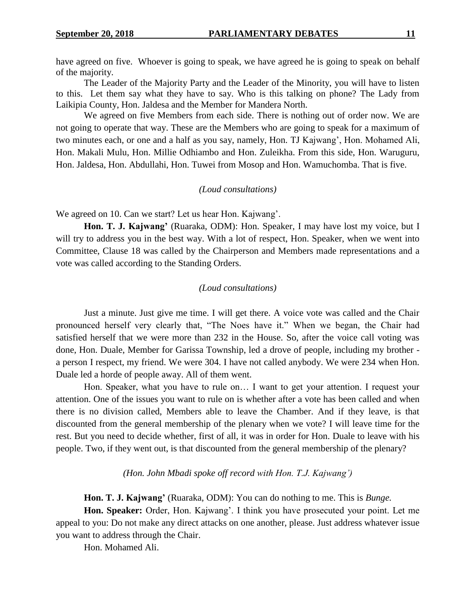have agreed on five. Whoever is going to speak, we have agreed he is going to speak on behalf of the majority.

The Leader of the Majority Party and the Leader of the Minority, you will have to listen to this. Let them say what they have to say. Who is this talking on phone? The Lady from Laikipia County, Hon. Jaldesa and the Member for Mandera North.

We agreed on five Members from each side. There is nothing out of order now. We are not going to operate that way. These are the Members who are going to speak for a maximum of two minutes each, or one and a half as you say, namely, Hon. TJ Kajwang', Hon. Mohamed Ali, Hon. Makali Mulu, Hon. Millie Odhiambo and Hon. Zuleikha. From this side, Hon. Waruguru, Hon. Jaldesa, Hon. Abdullahi, Hon. Tuwei from Mosop and Hon. Wamuchomba. That is five.

## *(Loud consultations)*

We agreed on 10. Can we start? Let us hear Hon. Kajwang'.

**Hon. T. J. Kajwang'** (Ruaraka, ODM): Hon. Speaker, I may have lost my voice, but I will try to address you in the best way. With a lot of respect, Hon. Speaker, when we went into Committee, Clause 18 was called by the Chairperson and Members made representations and a vote was called according to the Standing Orders.

## *(Loud consultations)*

Just a minute. Just give me time. I will get there. A voice vote was called and the Chair pronounced herself very clearly that, "The Noes have it." When we began, the Chair had satisfied herself that we were more than 232 in the House. So, after the voice call voting was done, Hon. Duale, Member for Garissa Township, led a drove of people, including my brother a person I respect, my friend. We were 304. I have not called anybody. We were 234 when Hon. Duale led a horde of people away. All of them went.

Hon. Speaker, what you have to rule on… I want to get your attention. I request your attention. One of the issues you want to rule on is whether after a vote has been called and when there is no division called, Members able to leave the Chamber. And if they leave, is that discounted from the general membership of the plenary when we vote? I will leave time for the rest. But you need to decide whether, first of all, it was in order for Hon. Duale to leave with his people. Two, if they went out, is that discounted from the general membership of the plenary?

*(Hon. John Mbadi spoke off record with Hon. T.J. Kajwang')*

**Hon. T. J. Kajwang'** (Ruaraka, ODM): You can do nothing to me. This is *Bunge.*

**Hon. Speaker:** Order, Hon. Kajwang'. I think you have prosecuted your point. Let me appeal to you: Do not make any direct attacks on one another, please. Just address whatever issue you want to address through the Chair.

Hon. Mohamed Ali.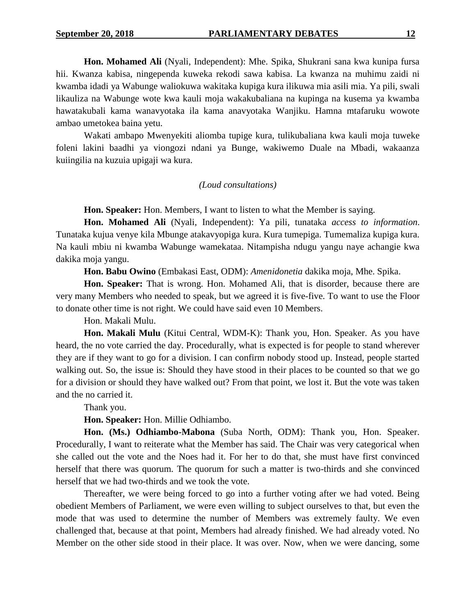**Hon. Mohamed Ali** (Nyali, Independent): Mhe. Spika, Shukrani sana kwa kunipa fursa hii. Kwanza kabisa, ningependa kuweka rekodi sawa kabisa. La kwanza na muhimu zaidi ni kwamba idadi ya Wabunge waliokuwa wakitaka kupiga kura ilikuwa mia asili mia. Ya pili, swali likauliza na Wabunge wote kwa kauli moja wakakubaliana na kupinga na kusema ya kwamba hawatakubali kama wanavyotaka ila kama anavyotaka Wanjiku. Hamna mtafaruku wowote ambao umetokea baina yetu.

Wakati ambapo Mwenyekiti aliomba tupige kura, tulikubaliana kwa kauli moja tuweke foleni lakini baadhi ya viongozi ndani ya Bunge, wakiwemo Duale na Mbadi, wakaanza kuiingilia na kuzuia upigaji wa kura.

## *(Loud consultations)*

**Hon. Speaker:** Hon. Members, I want to listen to what the Member is saying.

**Hon. Mohamed Ali** (Nyali, Independent): Ya pili, tunataka *access to information*. Tunataka kujua venye kila Mbunge atakavyopiga kura. Kura tumepiga. Tumemaliza kupiga kura. Na kauli mbiu ni kwamba Wabunge wamekataa. Nitampisha ndugu yangu naye achangie kwa dakika moja yangu.

**Hon. Babu Owino** (Embakasi East, ODM): *Amenidonetia* dakika moja, Mhe. Spika.

**Hon. Speaker:** That is wrong. Hon. Mohamed Ali, that is disorder, because there are very many Members who needed to speak, but we agreed it is five-five. To want to use the Floor to donate other time is not right. We could have said even 10 Members.

Hon. Makali Mulu.

**Hon. Makali Mulu** (Kitui Central, WDM-K): Thank you, Hon. Speaker. As you have heard, the no vote carried the day. Procedurally, what is expected is for people to stand wherever they are if they want to go for a division. I can confirm nobody stood up. Instead, people started walking out. So, the issue is: Should they have stood in their places to be counted so that we go for a division or should they have walked out? From that point, we lost it. But the vote was taken and the no carried it.

Thank you.

**Hon. Speaker:** Hon. Millie Odhiambo.

**Hon. (Ms.) Odhiambo-Mabona** (Suba North, ODM): Thank you, Hon. Speaker. Procedurally, I want to reiterate what the Member has said. The Chair was very categorical when she called out the vote and the Noes had it. For her to do that, she must have first convinced herself that there was quorum. The quorum for such a matter is two-thirds and she convinced herself that we had two-thirds and we took the vote.

Thereafter, we were being forced to go into a further voting after we had voted. Being obedient Members of Parliament, we were even willing to subject ourselves to that, but even the mode that was used to determine the number of Members was extremely faulty. We even challenged that, because at that point, Members had already finished. We had already voted. No Member on the other side stood in their place. It was over. Now, when we were dancing, some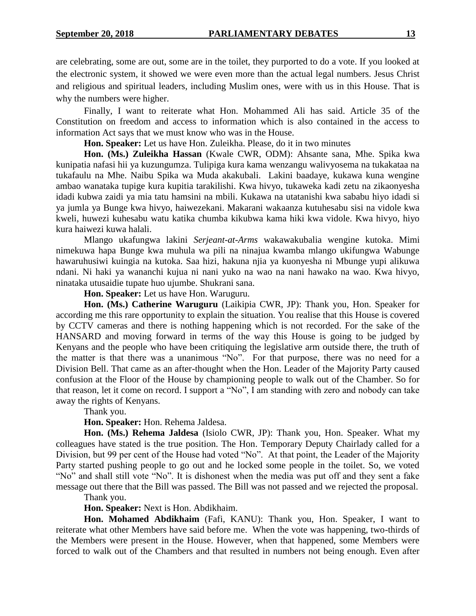are celebrating, some are out, some are in the toilet, they purported to do a vote. If you looked at the electronic system, it showed we were even more than the actual legal numbers. Jesus Christ and religious and spiritual leaders, including Muslim ones, were with us in this House. That is why the numbers were higher.

Finally, I want to reiterate what Hon. Mohammed Ali has said. Article 35 of the Constitution on freedom and access to information which is also contained in the access to information Act says that we must know who was in the House.

**Hon. Speaker:** Let us have Hon. Zuleikha. Please, do it in two minutes

**Hon. (Ms.) Zuleikha Hassan** (Kwale CWR, ODM): Ahsante sana, Mhe. Spika kwa kunipatia nafasi hii ya kuzungumza. Tulipiga kura kama wenzangu walivyosema na tukakataa na tukafaulu na Mhe. Naibu Spika wa Muda akakubali. Lakini baadaye, kukawa kuna wengine ambao wanataka tupige kura kupitia tarakilishi. Kwa hivyo, tukaweka kadi zetu na zikaonyesha idadi kubwa zaidi ya mia tatu hamsini na mbili. Kukawa na utatanishi kwa sababu hiyo idadi si ya jumla ya Bunge kwa hivyo, haiwezekani. Makarani wakaanza kutuhesabu sisi na vidole kwa kweli, huwezi kuhesabu watu katika chumba kikubwa kama hiki kwa vidole. Kwa hivyo, hiyo kura haiwezi kuwa halali.

Mlango ukafungwa lakini *Serjeant-at-Arms* wakawakubalia wengine kutoka. Mimi nimekuwa hapa Bunge kwa muhula wa pili na ninajua kwamba mlango ukifungwa Wabunge hawaruhusiwi kuingia na kutoka. Saa hizi, hakuna njia ya kuonyesha ni Mbunge yupi alikuwa ndani. Ni haki ya wananchi kujua ni nani yuko na wao na nani hawako na wao. Kwa hivyo, ninataka utusaidie tupate huo ujumbe. Shukrani sana.

**Hon. Speaker:** Let us have Hon. Waruguru.

**Hon. (Ms.) Catherine Waruguru** (Laikipia CWR, JP): Thank you, Hon. Speaker for according me this rare opportunity to explain the situation. You realise that this House is covered by CCTV cameras and there is nothing happening which is not recorded. For the sake of the HANSARD and moving forward in terms of the way this House is going to be judged by Kenyans and the people who have been critiquing the legislative arm outside there, the truth of the matter is that there was a unanimous "No". For that purpose, there was no need for a Division Bell. That came as an after-thought when the Hon. Leader of the Majority Party caused confusion at the Floor of the House by championing people to walk out of the Chamber. So for that reason, let it come on record. I support a "No", I am standing with zero and nobody can take away the rights of Kenyans.

Thank you.

**Hon. Speaker:** Hon. Rehema Jaldesa.

**Hon. (Ms.) Rehema Jaldesa** (Isiolo CWR, JP): Thank you, Hon. Speaker. What my colleagues have stated is the true position. The Hon. Temporary Deputy Chairlady called for a Division, but 99 per cent of the House had voted "No". At that point, the Leader of the Majority Party started pushing people to go out and he locked some people in the toilet. So, we voted "No" and shall still vote "No". It is dishonest when the media was put off and they sent a fake message out there that the Bill was passed. The Bill was not passed and we rejected the proposal. Thank you.

**Hon. Speaker:** Next is Hon. Abdikhaim.

**Hon. Mohamed Abdikhaim** (Fafi, KANU): Thank you, Hon. Speaker, I want to reiterate what other Members have said before me. When the vote was happening, two-thirds of the Members were present in the House. However, when that happened, some Members were forced to walk out of the Chambers and that resulted in numbers not being enough. Even after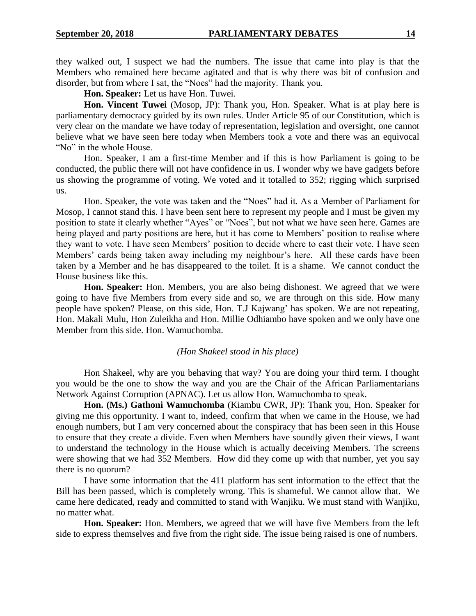they walked out, I suspect we had the numbers. The issue that came into play is that the Members who remained here became agitated and that is why there was bit of confusion and disorder, but from where I sat, the "Noes" had the majority. Thank you.

**Hon. Speaker:** Let us have Hon. Tuwei.

**Hon. Vincent Tuwei** (Mosop, JP): Thank you, Hon. Speaker. What is at play here is parliamentary democracy guided by its own rules. Under Article 95 of our Constitution, which is very clear on the mandate we have today of representation, legislation and oversight, one cannot believe what we have seen here today when Members took a vote and there was an equivocal "No" in the whole House.

Hon. Speaker, I am a first-time Member and if this is how Parliament is going to be conducted, the public there will not have confidence in us. I wonder why we have gadgets before us showing the programme of voting. We voted and it totalled to 352; rigging which surprised us.

Hon. Speaker, the vote was taken and the "Noes" had it. As a Member of Parliament for Mosop, I cannot stand this. I have been sent here to represent my people and I must be given my position to state it clearly whether "Ayes" or "Noes", but not what we have seen here. Games are being played and party positions are here, but it has come to Members' position to realise where they want to vote. I have seen Members' position to decide where to cast their vote. I have seen Members' cards being taken away including my neighbour's here. All these cards have been taken by a Member and he has disappeared to the toilet. It is a shame. We cannot conduct the House business like this.

**Hon. Speaker:** Hon. Members, you are also being dishonest. We agreed that we were going to have five Members from every side and so, we are through on this side. How many people have spoken? Please, on this side, Hon. T.J Kajwang' has spoken. We are not repeating, Hon. Makali Mulu, Hon Zuleikha and Hon. Millie Odhiambo have spoken and we only have one Member from this side. Hon. Wamuchomba.

## *(Hon Shakeel stood in his place)*

Hon Shakeel, why are you behaving that way? You are doing your third term. I thought you would be the one to show the way and you are the Chair of the African Parliamentarians Network Against Corruption (APNAC). Let us allow Hon. Wamuchomba to speak.

**Hon. (Ms.) Gathoni Wamuchomba** (Kiambu CWR, JP): Thank you, Hon. Speaker for giving me this opportunity. I want to, indeed, confirm that when we came in the House, we had enough numbers, but I am very concerned about the conspiracy that has been seen in this House to ensure that they create a divide. Even when Members have soundly given their views, I want to understand the technology in the House which is actually deceiving Members. The screens were showing that we had 352 Members. How did they come up with that number, yet you say there is no quorum?

I have some information that the 411 platform has sent information to the effect that the Bill has been passed, which is completely wrong. This is shameful. We cannot allow that. We came here dedicated, ready and committed to stand with Wanjiku. We must stand with Wanjiku, no matter what.

**Hon. Speaker:** Hon. Members, we agreed that we will have five Members from the left side to express themselves and five from the right side. The issue being raised is one of numbers.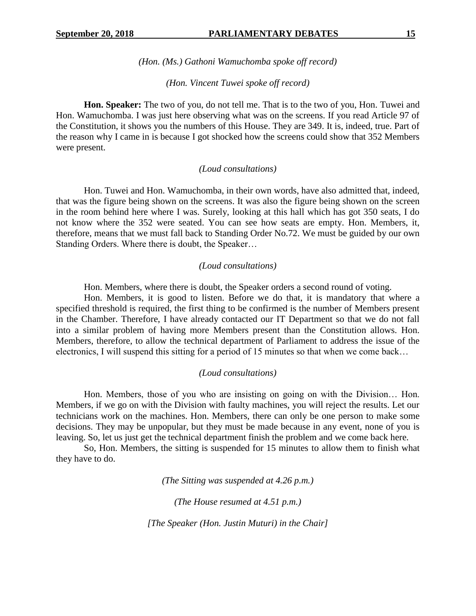*(Hon. (Ms.) Gathoni Wamuchomba spoke off record)*

## *(Hon. Vincent Tuwei spoke off record)*

**Hon. Speaker:** The two of you, do not tell me. That is to the two of you, Hon. Tuwei and Hon. Wamuchomba. I was just here observing what was on the screens. If you read Article 97 of the Constitution, it shows you the numbers of this House. They are 349. It is, indeed, true. Part of the reason why I came in is because I got shocked how the screens could show that 352 Members were present.

#### *(Loud consultations)*

Hon. Tuwei and Hon. Wamuchomba, in their own words, have also admitted that, indeed, that was the figure being shown on the screens. It was also the figure being shown on the screen in the room behind here where I was. Surely, looking at this hall which has got 350 seats, I do not know where the 352 were seated. You can see how seats are empty. Hon. Members, it, therefore, means that we must fall back to Standing Order No.72. We must be guided by our own Standing Orders. Where there is doubt, the Speaker…

### *(Loud consultations)*

Hon. Members, where there is doubt, the Speaker orders a second round of voting.

Hon. Members, it is good to listen. Before we do that, it is mandatory that where a specified threshold is required, the first thing to be confirmed is the number of Members present in the Chamber. Therefore, I have already contacted our IT Department so that we do not fall into a similar problem of having more Members present than the Constitution allows. Hon. Members, therefore, to allow the technical department of Parliament to address the issue of the electronics, I will suspend this sitting for a period of 15 minutes so that when we come back…

#### *(Loud consultations)*

Hon. Members, those of you who are insisting on going on with the Division… Hon. Members, if we go on with the Division with faulty machines, you will reject the results. Let our technicians work on the machines. Hon. Members, there can only be one person to make some decisions. They may be unpopular, but they must be made because in any event, none of you is leaving. So, let us just get the technical department finish the problem and we come back here.

So, Hon. Members, the sitting is suspended for 15 minutes to allow them to finish what they have to do.

*(The Sitting was suspended at 4.26 p.m.)*

*(The House resumed at 4.51 p.m.)*

*[The Speaker (Hon. Justin Muturi) in the Chair]*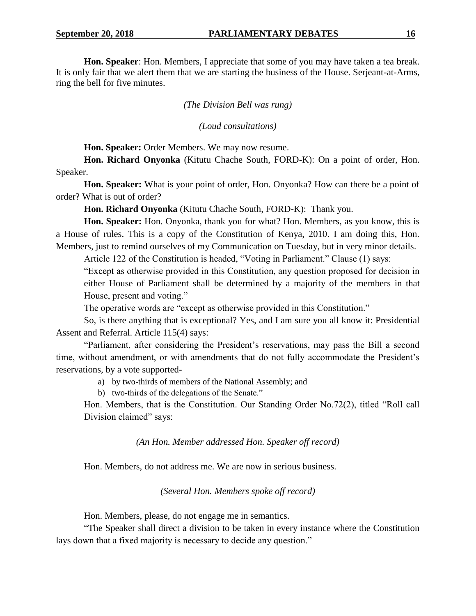**Hon. Speaker**: Hon. Members, I appreciate that some of you may have taken a tea break. It is only fair that we alert them that we are starting the business of the House. Serjeant-at-Arms, ring the bell for five minutes.

## *(The Division Bell was rung)*

*(Loud consultations)*

**Hon. Speaker:** Order Members. We may now resume.

**Hon. Richard Onyonka** (Kitutu Chache South, FORD-K): On a point of order, Hon. Speaker.

**Hon. Speaker:** What is your point of order, Hon. Onyonka? How can there be a point of order? What is out of order?

**Hon. Richard Onyonka** (Kitutu Chache South, FORD-K): Thank you.

**Hon. Speaker:** Hon. Onyonka, thank you for what? Hon. Members, as you know, this is a House of rules. This is a copy of the Constitution of Kenya, 2010. I am doing this, Hon. Members, just to remind ourselves of my Communication on Tuesday, but in very minor details.

Article 122 of the Constitution is headed, "Voting in Parliament." Clause (1) says:

"Except as otherwise provided in this Constitution, any question proposed for decision in either House of Parliament shall be determined by a majority of the members in that House, present and voting."

The operative words are "except as otherwise provided in this Constitution."

So, is there anything that is exceptional? Yes, and I am sure you all know it: Presidential Assent and Referral. Article 115(4) says:

"Parliament, after considering the President's reservations, may pass the Bill a second time, without amendment, or with amendments that do not fully accommodate the President's reservations, by a vote supported-

a) by two-thirds of members of the National Assembly; and

b) two-thirds of the delegations of the Senate."

Hon. Members, that is the Constitution. Our Standing Order No.72(2), titled "Roll call Division claimed" says:

*(An Hon. Member addressed Hon. Speaker off record)*

Hon. Members, do not address me. We are now in serious business.

*(Several Hon. Members spoke off record)*

Hon. Members, please, do not engage me in semantics.

"The Speaker shall direct a division to be taken in every instance where the Constitution lays down that a fixed majority is necessary to decide any question."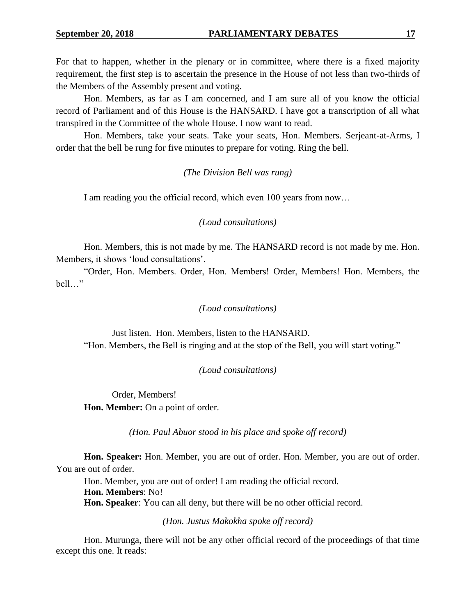For that to happen, whether in the plenary or in committee, where there is a fixed majority requirement, the first step is to ascertain the presence in the House of not less than two-thirds of the Members of the Assembly present and voting.

Hon. Members, as far as I am concerned, and I am sure all of you know the official record of Parliament and of this House is the HANSARD. I have got a transcription of all what transpired in the Committee of the whole House. I now want to read.

Hon. Members, take your seats. Take your seats, Hon. Members. Serjeant-at-Arms, I order that the bell be rung for five minutes to prepare for voting. Ring the bell.

*(The Division Bell was rung)*

I am reading you the official record, which even 100 years from now…

## *(Loud consultations)*

Hon. Members, this is not made by me. The HANSARD record is not made by me. Hon. Members, it shows 'loud consultations'.

"Order, Hon. Members. Order, Hon. Members! Order, Members! Hon. Members, the bell…"

## *(Loud consultations)*

Just listen. Hon. Members, listen to the HANSARD. "Hon. Members, the Bell is ringing and at the stop of the Bell, you will start voting."

## *(Loud consultations)*

Order, Members! **Hon. Member:** On a point of order.

*(Hon. Paul Abuor stood in his place and spoke off record)*

**Hon. Speaker:** Hon. Member, you are out of order. Hon. Member, you are out of order. You are out of order.

Hon. Member, you are out of order! I am reading the official record. **Hon. Members**: No!

**Hon. Speaker**: You can all deny, but there will be no other official record.

*(Hon. Justus Makokha spoke off record)*

Hon. Murunga, there will not be any other official record of the proceedings of that time except this one. It reads: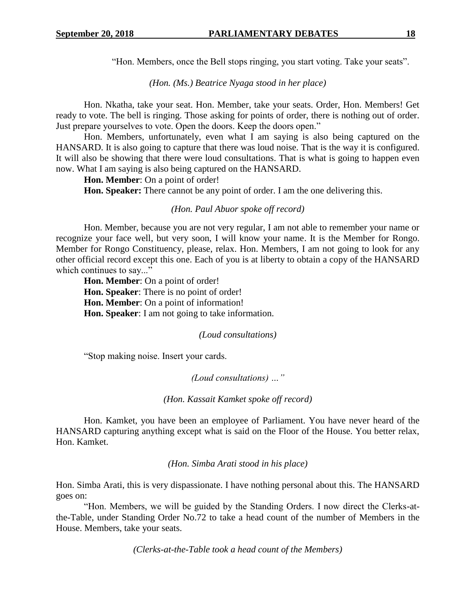"Hon. Members, once the Bell stops ringing, you start voting. Take your seats".

*(Hon. (Ms.) Beatrice Nyaga stood in her place)*

Hon. Nkatha, take your seat. Hon. Member, take your seats. Order, Hon. Members! Get ready to vote. The bell is ringing. Those asking for points of order, there is nothing out of order. Just prepare yourselves to vote. Open the doors. Keep the doors open."

Hon. Members, unfortunately, even what I am saying is also being captured on the HANSARD. It is also going to capture that there was loud noise. That is the way it is configured. It will also be showing that there were loud consultations. That is what is going to happen even now. What I am saying is also being captured on the HANSARD.

**Hon. Member**: On a point of order!

**Hon. Speaker:** There cannot be any point of order. I am the one delivering this.

#### *(Hon. Paul Abuor spoke off record)*

Hon. Member, because you are not very regular, I am not able to remember your name or recognize your face well, but very soon, I will know your name. It is the Member for Rongo. Member for Rongo Constituency, please, relax. Hon. Members, I am not going to look for any other official record except this one. Each of you is at liberty to obtain a copy of the HANSARD which continues to say..."

**Hon. Member**: On a point of order! **Hon. Speaker**: There is no point of order! **Hon. Member**: On a point of information! **Hon. Speaker**: I am not going to take information.

*(Loud consultations)*

"Stop making noise. Insert your cards.

*(Loud consultations) …"*

*(Hon. Kassait Kamket spoke off record)*

Hon. Kamket, you have been an employee of Parliament. You have never heard of the HANSARD capturing anything except what is said on the Floor of the House. You better relax, Hon. Kamket.

*(Hon. Simba Arati stood in his place)*

Hon. Simba Arati, this is very dispassionate. I have nothing personal about this. The HANSARD goes on:

"Hon. Members, we will be guided by the Standing Orders. I now direct the Clerks-atthe-Table, under Standing Order No.72 to take a head count of the number of Members in the House. Members, take your seats.

*(Clerks-at-the-Table took a head count of the Members)*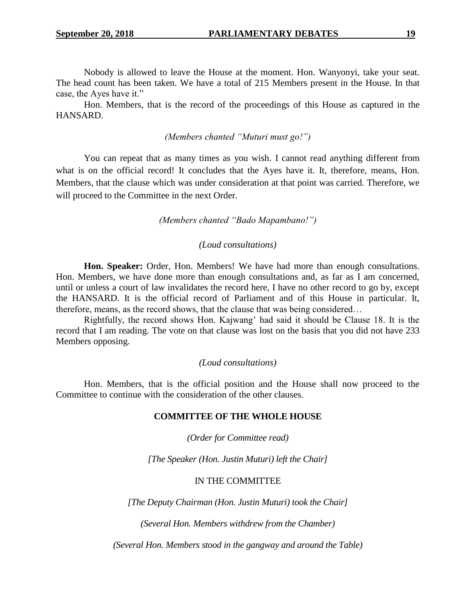Nobody is allowed to leave the House at the moment. Hon. Wanyonyi, take your seat. The head count has been taken. We have a total of 215 Members present in the House. In that case, the Ayes have it."

Hon. Members, that is the record of the proceedings of this House as captured in the HANSARD.

## *(Members chanted "Muturi must go!")*

You can repeat that as many times as you wish. I cannot read anything different from what is on the official record! It concludes that the Ayes have it. It, therefore, means, Hon. Members, that the clause which was under consideration at that point was carried. Therefore, we will proceed to the Committee in the next Order.

*(Members chanted "Bado Mapambano!")*

## *(Loud consultations)*

**Hon. Speaker:** Order, Hon. Members! We have had more than enough consultations. Hon. Members, we have done more than enough consultations and, as far as I am concerned, until or unless a court of law invalidates the record here, I have no other record to go by, except the HANSARD. It is the official record of Parliament and of this House in particular. It, therefore, means, as the record shows, that the clause that was being considered…

Rightfully, the record shows Hon. Kajwang' had said it should be Clause 18. It is the record that I am reading. The vote on that clause was lost on the basis that you did not have 233 Members opposing.

#### *(Loud consultations)*

Hon. Members, that is the official position and the House shall now proceed to the Committee to continue with the consideration of the other clauses.

#### **COMMITTEE OF THE WHOLE HOUSE**

*(Order for Committee read)*

*[The Speaker (Hon. Justin Muturi) left the Chair]*

## IN THE COMMITTEE

*[The Deputy Chairman (Hon. Justin Muturi) took the Chair]*

*(Several Hon. Members withdrew from the Chamber)*

*(Several Hon. Members stood in the gangway and around the Table)*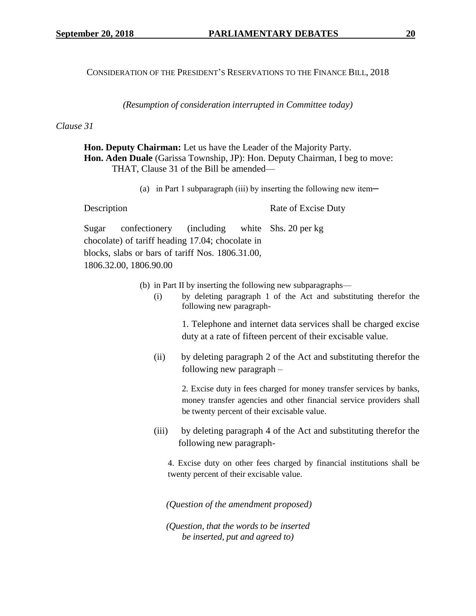CONSIDERATION OF THE PRESIDENT'S RESERVATIONS TO THE FINANCE BILL, 2018

*(Resumption of consideration interrupted in Committee today)*

## *Clause 31*

**Hon. Deputy Chairman:** Let us have the Leader of the Majority Party. **Hon. Aden Duale** (Garissa Township, JP): Hon. Deputy Chairman, I beg to move: THAT, Clause 31 of the Bill be amended—

(a) in Part 1 subparagraph (iii) by inserting the following new item—

| Description |                                                     |  |  | Rate of Excise Duty |
|-------------|-----------------------------------------------------|--|--|---------------------|
|             | Sugar confectionery (including white Shs. 20 per kg |  |  |                     |
|             | chocolate) of tariff heading 17.04; chocolate in    |  |  |                     |
|             | blocks, slabs or bars of tariff Nos. 1806.31.00,    |  |  |                     |

1806.32.00, 1806.90.00

- (b) in Part II by inserting the following new subparagraphs—
	- (i) by deleting paragraph 1 of the Act and substituting therefor the following new paragraph-

1. Telephone and internet data services shall be charged excise duty at a rate of fifteen percent of their excisable value.

(ii) by deleting paragraph 2 of the Act and substituting therefor the following new paragraph –

> 2. Excise duty in fees charged for money transfer services by banks, money transfer agencies and other financial service providers shall be twenty percent of their excisable value.

(iii) by deleting paragraph 4 of the Act and substituting therefor the following new paragraph-

4. Excise duty on other fees charged by financial institutions shall be twenty percent of their excisable value.

*(Question of the amendment proposed)*

*(Question, that the words to be inserted be inserted, put and agreed to)*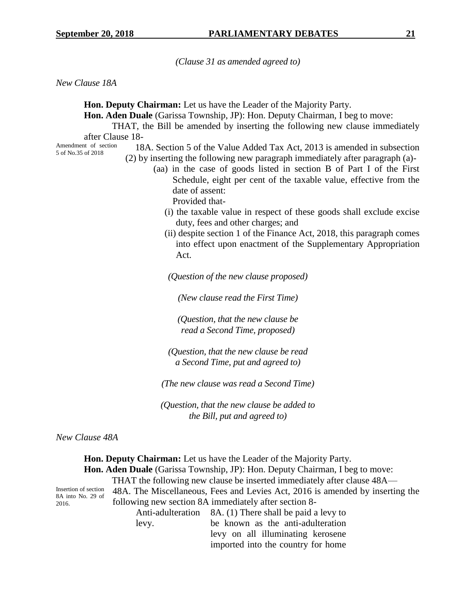*(Clause 31 as amended agreed to)*

*New Clause 18A*

5 of No.35 of 2018

**Hon. Deputy Chairman:** Let us have the Leader of the Majority Party.

**Hon. Aden Duale** (Garissa Township, JP): Hon. Deputy Chairman, I beg to move:

THAT, the Bill be amended by inserting the following new clause immediately after Clause 18-

Amendment of section

- 18A. Section 5 of the Value Added Tax Act, 2013 is amended in subsection (2) by inserting the following new paragraph immediately after paragraph (a)-
	- (aa) in the case of goods listed in section B of Part I of the First Schedule, eight per cent of the taxable value, effective from the date of assent: Provided that-
		- (i) the taxable value in respect of these goods shall exclude excise duty, fees and other charges; and
		- (ii) despite section 1 of the Finance Act, 2018, this paragraph comes into effect upon enactment of the Supplementary Appropriation Act.

*(Question of the new clause proposed)*

*(New clause read the First Time)*

*(Question, that the new clause be read a Second Time, proposed)*

*(Question, that the new clause be read a Second Time, put and agreed to)*

*(The new clause was read a Second Time)*

*(Question, that the new clause be added to the Bill, put and agreed to)*

*New Clause 48A*

**Hon. Deputy Chairman:** Let us have the Leader of the Majority Party. **Hon. Aden Duale** (Garissa Township, JP): Hon. Deputy Chairman, I beg to move: THAT the following new clause be inserted immediately after clause 48A— Insertion of section 8A into No. 29 of 2016. 48A. The Miscellaneous, Fees and Levies Act, 2016 is amended by inserting the following new section 8A immediately after section 8- Anti-adulteration 8A. (1) There shall be paid a levy to levy. be known as the anti-adulteration levy on all illuminating kerosene

imported into the country for home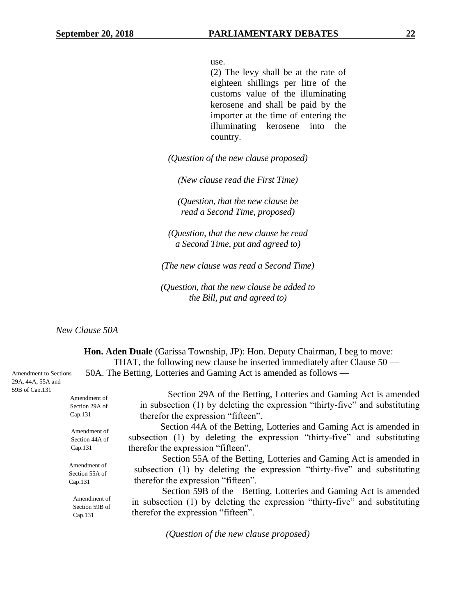use.

(2) The levy shall be at the rate of eighteen shillings per litre of the customs value of the illuminating kerosene and shall be paid by the importer at the time of entering the illuminating kerosene into the country.

*(Question of the new clause proposed)*

*(New clause read the First Time)*

*(Question, that the new clause be read a Second Time, proposed)*

*(Question, that the new clause be read a Second Time, put and agreed to)*

*(The new clause was read a Second Time)*

*(Question, that the new clause be added to the Bill, put and agreed to)*

*New Clause 50A*

**Hon. Aden Duale** (Garissa Township, JP): Hon. Deputy Chairman, I beg to move: THAT, the following new clause be inserted immediately after Clause 50 — 50A. The Betting, Lotteries and Gaming Act is amended as follows —

| Amendment of                              | Section 29A of the Betting, Lotteries and Gaming Act is amended                                                                                                                      |  |  |  |  |
|-------------------------------------------|--------------------------------------------------------------------------------------------------------------------------------------------------------------------------------------|--|--|--|--|
| Section 29A of                            | in subsection (1) by deleting the expression "thirty-five" and substituting                                                                                                          |  |  |  |  |
| Cap.131                                   | therefor the expression "fifteen".                                                                                                                                                   |  |  |  |  |
| Amendment of                              | Section 44A of the Betting, Lotteries and Gaming Act is amended in                                                                                                                   |  |  |  |  |
| Section 44A of                            | subsection (1) by deleting the expression "thirty-five" and substituting                                                                                                             |  |  |  |  |
| Cap.131                                   | therefor the expression "fifteen".                                                                                                                                                   |  |  |  |  |
| Amendment of<br>Section 55A of<br>Cap.131 | Section 55A of the Betting, Lotteries and Gaming Act is amended in<br>subsection (1) by deleting the expression "thirty-five" and substituting<br>therefor the expression "fifteen". |  |  |  |  |
| Amendment of<br>Section 59B of<br>Cap.131 | Section 59B of the Betting, Lotteries and Gaming Act is amended<br>in subsection (1) by deleting the expression "thirty-five" and substituting<br>therefor the expression "fifteen". |  |  |  |  |
|                                           | $\sqrt{2}$ $\sqrt{1}$ $\sqrt{1}$                                                                                                                                                     |  |  |  |  |

*(Question of the new clause proposed)*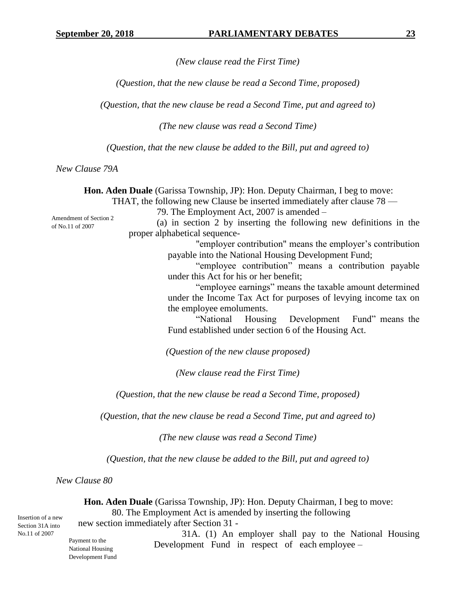*(New clause read the First Time)*

*(Question, that the new clause be read a Second Time, proposed)*

*(Question, that the new clause be read a Second Time, put and agreed to)*

*(The new clause was read a Second Time)*

*(Question, that the new clause be added to the Bill, put and agreed to)*

*New Clause 79A*

**Hon. Aden Duale** (Garissa Township, JP): Hon. Deputy Chairman, I beg to move: THAT, the following new Clause be inserted immediately after clause 78 — 79. The Employment Act, 2007 is amended – (a) in section 2 by inserting the following new definitions in the proper alphabetical sequence- "employer contribution" means the employer's contribution payable into the National Housing Development Fund; "employee contribution" means a contribution payable under this Act for his or her benefit; "employee earnings" means the taxable amount determined under the Income Tax Act for purposes of levying income tax on the employee emoluments. "National Housing Development Fund" means the Fund established under section 6 of the Housing Act. *(Question of the new clause proposed) (New clause read the First Time) (Question, that the new clause be read a Second Time, proposed) (Question, that the new clause be read a Second Time, put and agreed to) (The new clause was read a Second Time) (Question, that the new clause be added to the Bill, put and agreed to) New Clause 80* **Hon. Aden Duale** (Garissa Township, JP): Hon. Deputy Chairman, I beg to move: 80. The Employment Act is amended by inserting the following Amendment of Section 2 of No.11 of 2007 Insertion of a new

new section immediately after Section 31 -

Section 31A into No.11 of 2007

Payment to the National Housing Development Fund

31A. (1) An employer shall pay to the National Housing Development Fund in respect of each employee –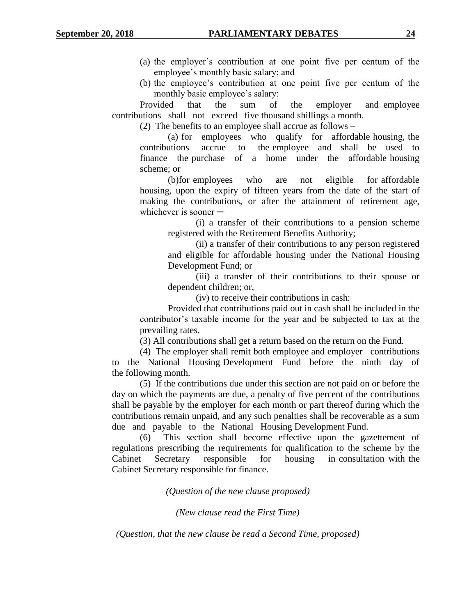- (a) the employer's contribution at one point five per centum of the employee's monthly basic salary; and
- (b) the employee's contribution at one point five per centum of the monthly basic employee's salary:

Provided that the sum of the employer and employee contributions shall not exceed five thousand shillings a month.

(2) The benefits to an employee shall accrue as follows –

(a) for employees who qualify for affordable housing, the contributions accrue to the employee and shall be used to finance the purchase of a home under the affordable housing scheme; or

(b)for employees who are not eligible for affordable housing, upon the expiry of fifteen years from the date of the start of making the contributions, or after the attainment of retirement age, whichever is sooner  $-$ 

> (i) a transfer of their contributions to a pension scheme registered with the Retirement Benefits Authority;

> (ii) a transfer of their contributions to any person registered and eligible for affordable housing under the National Housing Development Fund; or

> (iii) a transfer of their contributions to their spouse or dependent children; or,

(iv) to receive their contributions in cash:

Provided that contributions paid out in cash shall be included in the contributor's taxable income for the year and be subjected to tax at the prevailing rates.

(3) All contributions shall get a return based on the return on the Fund.

(4) The employer shall remit both employee and employer contributions to the National Housing Development Fund before the ninth day of the following month.

(5) If the contributions due under this section are not paid on or before the day on which the payments are due, a penalty of five percent of the contributions shall be payable by the employer for each month or part thereof during which the contributions remain unpaid, and any such penalties shall be recoverable as a sum due and payable to the National Housing Development Fund.

(6) This section shall become effective upon the gazettement of regulations prescribing the requirements for qualification to the scheme by the Cabinet Secretary responsible for housing in consultation with the Cabinet Secretary responsible for finance.

*(Question of the new clause proposed)*

*(New clause read the First Time)*

*(Question, that the new clause be read a Second Time, proposed)*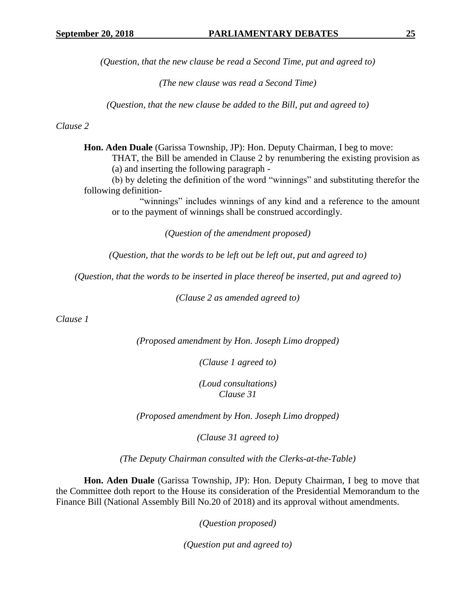*(Question, that the new clause be read a Second Time, put and agreed to)*

*(The new clause was read a Second Time)*

*(Question, that the new clause be added to the Bill, put and agreed to)*

*Clause 2*

**Hon. Aden Duale** (Garissa Township, JP): Hon. Deputy Chairman, I beg to move: THAT, the Bill be amended in Clause 2 by renumbering the existing provision as (a) and inserting the following paragraph -

(b) by deleting the definition of the word "winnings" and substituting therefor the following definition-

"winnings" includes winnings of any kind and a reference to the amount or to the payment of winnings shall be construed accordingly.

*(Question of the amendment proposed)*

*(Question, that the words to be left out be left out, put and agreed to)*

*(Question, that the words to be inserted in place thereof be inserted, put and agreed to)*

*(Clause 2 as amended agreed to)*

*Clause 1*

*(Proposed amendment by Hon. Joseph Limo dropped)*

*(Clause 1 agreed to)*

*(Loud consultations) Clause 31*

*(Proposed amendment by Hon. Joseph Limo dropped)*

*(Clause 31 agreed to)*

*(The Deputy Chairman consulted with the Clerks-at-the-Table)*

**Hon. Aden Duale** (Garissa Township, JP): Hon. Deputy Chairman, I beg to move that the Committee doth report to the House its consideration of the Presidential Memorandum to the Finance Bill (National Assembly Bill No.20 of 2018) and its approval without amendments.

*(Question proposed)*

*(Question put and agreed to)*